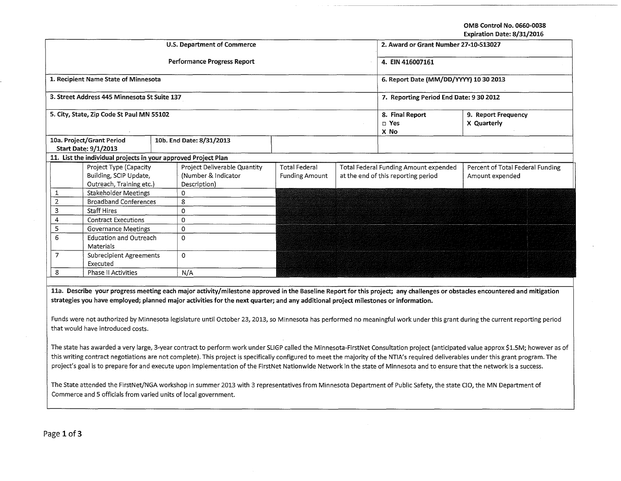OMB Control No. 0660-0038

Expiration Date: 8/31/2016

| <b>U.S. Department of Commerce</b><br>2. Award or Grant Number 27-10-S13027<br>Performance Progress Report<br>4. EIN 416007161<br>1. Recipient Name State of Minnesota<br>6. Report Date (MM/DD/YYYY) 10 30 2013<br>3. Street Address 445 Minnesota St Suite 137<br>7. Reporting Period End Date: 9 30 2012                                                                                                                                                                                                                                                                                                                                                                                                                    |  |  |  |  |  |  |  |
|--------------------------------------------------------------------------------------------------------------------------------------------------------------------------------------------------------------------------------------------------------------------------------------------------------------------------------------------------------------------------------------------------------------------------------------------------------------------------------------------------------------------------------------------------------------------------------------------------------------------------------------------------------------------------------------------------------------------------------|--|--|--|--|--|--|--|
|                                                                                                                                                                                                                                                                                                                                                                                                                                                                                                                                                                                                                                                                                                                                |  |  |  |  |  |  |  |
|                                                                                                                                                                                                                                                                                                                                                                                                                                                                                                                                                                                                                                                                                                                                |  |  |  |  |  |  |  |
|                                                                                                                                                                                                                                                                                                                                                                                                                                                                                                                                                                                                                                                                                                                                |  |  |  |  |  |  |  |
|                                                                                                                                                                                                                                                                                                                                                                                                                                                                                                                                                                                                                                                                                                                                |  |  |  |  |  |  |  |
| 5. City, State, Zip Code St Paul MN 55102<br>8. Final Report<br>9. Report Frequency<br>□ Yes<br>X Quarterly<br>X No                                                                                                                                                                                                                                                                                                                                                                                                                                                                                                                                                                                                            |  |  |  |  |  |  |  |
| 10a. Project/Grant Period<br>10b. End Date: 8/31/2013                                                                                                                                                                                                                                                                                                                                                                                                                                                                                                                                                                                                                                                                          |  |  |  |  |  |  |  |
| <b>Start Date: 9/1/2013</b>                                                                                                                                                                                                                                                                                                                                                                                                                                                                                                                                                                                                                                                                                                    |  |  |  |  |  |  |  |
| 11. List the individual projects in your approved Project Plan                                                                                                                                                                                                                                                                                                                                                                                                                                                                                                                                                                                                                                                                 |  |  |  |  |  |  |  |
| Project Type (Capacity<br>Project Deliverable Quantity<br><b>Total Federal</b><br>Total Federal Funding Amount expended<br>Percent of Total Federal Funding                                                                                                                                                                                                                                                                                                                                                                                                                                                                                                                                                                    |  |  |  |  |  |  |  |
| Building, SCIP Update,<br>(Number & Indicator<br><b>Funding Amount</b><br>at the end of this reporting period<br>Amount expended                                                                                                                                                                                                                                                                                                                                                                                                                                                                                                                                                                                               |  |  |  |  |  |  |  |
| Outreach, Training etc.)<br>Description)                                                                                                                                                                                                                                                                                                                                                                                                                                                                                                                                                                                                                                                                                       |  |  |  |  |  |  |  |
| Stakeholder Meetings<br>1<br>$\Omega$                                                                                                                                                                                                                                                                                                                                                                                                                                                                                                                                                                                                                                                                                          |  |  |  |  |  |  |  |
| $\overline{2}$<br>8<br><b>Broadband Conferences</b>                                                                                                                                                                                                                                                                                                                                                                                                                                                                                                                                                                                                                                                                            |  |  |  |  |  |  |  |
| 3<br><b>Staff Hires</b><br>0                                                                                                                                                                                                                                                                                                                                                                                                                                                                                                                                                                                                                                                                                                   |  |  |  |  |  |  |  |
| 4<br>$\Omega$<br><b>Contract Executions</b>                                                                                                                                                                                                                                                                                                                                                                                                                                                                                                                                                                                                                                                                                    |  |  |  |  |  |  |  |
| 5<br><b>Governance Meetings</b><br>0                                                                                                                                                                                                                                                                                                                                                                                                                                                                                                                                                                                                                                                                                           |  |  |  |  |  |  |  |
| 6<br><b>Education and Outreach</b><br>$\Omega$<br>Materials                                                                                                                                                                                                                                                                                                                                                                                                                                                                                                                                                                                                                                                                    |  |  |  |  |  |  |  |
| $\overline{7}$<br><b>Subrecipient Agreements</b><br>$\Omega$<br>Executed                                                                                                                                                                                                                                                                                                                                                                                                                                                                                                                                                                                                                                                       |  |  |  |  |  |  |  |
| 8<br>Phase II Activities<br>N/A                                                                                                                                                                                                                                                                                                                                                                                                                                                                                                                                                                                                                                                                                                |  |  |  |  |  |  |  |
|                                                                                                                                                                                                                                                                                                                                                                                                                                                                                                                                                                                                                                                                                                                                |  |  |  |  |  |  |  |
| 11a. Describe your progress meeting each major activity/milestone approved in the Baseline Report for this project; any challenges or obstacles encountered and mitigation<br>strategies you have employed; planned major activities for the next quarter; and any additional project milestones or information.<br>Funds were not authorized by Minnesota legislature until October 23, 2013, so Minnesota has performed no meaningful work under this grant during the current reporting period<br>that would have introduced costs.                                                                                                                                                                                         |  |  |  |  |  |  |  |
| The state has awarded a very large, 3-year contract to perform work under SLIGP called the Minnesota-FirstNet Consultation project (anticipated value approx \$1.5M; however as of<br>this writing contract negotiations are not complete). This project is specifically configured to meet the majority of the NTIA's required deliverables under this grant program. The<br>project's goal is to prepare for and execute upon implementation of the FirstNet Nationwide Network in the state of Minnesota and to ensure that the network is a success.<br>The State attended the FirstNet/NGA workshop in summer 2013 with 3 representatives from Minnesota Department of Public Safety, the state CIO, the MN Department of |  |  |  |  |  |  |  |
| Commerce and 5 officials from varied units of local government.                                                                                                                                                                                                                                                                                                                                                                                                                                                                                                                                                                                                                                                                |  |  |  |  |  |  |  |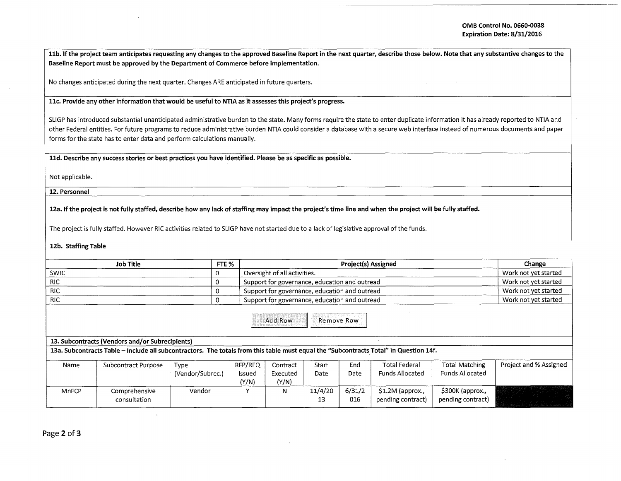11b. If the project team anticipates requesting any changes to the approved Baseline Report in the next quarter, describe those below. Note that any substantive changes to the Baseline Report must be approved by the Department of Commerce before implementation.

No changes anticipated during the next quarter. Changes ARE anticipated in future quarters.

llc. Provide any other information that would be useful to NTIA as it assesses this project's progress.

SLIGP has introduced substantial unanticipated administrative burden to the state. Many forms require the state to enter duplicate information it has already reported to NTIA and other Federal entities. For future programs to reduce administrative burden NTIA could consider a database with a secure web interface instead of numerous documents and paper forms for the state has to enter data and perform calculations manually.

11d. Describe any success stories or best practices you have identified. Please be as specific as possible.

Not applicable.

12. Personnel

12a. If the project is not fully staffed, describe how any lack of staffing may impact the project's time line and when the project will be fully staffed.

The project is fully staffed. However RIC activities related to SLIGP have not started due to a lack of legislative approval of the funds.

12b. Staffing Table

| Job Title   |  | <b>Project(s) Assigned</b>                    | Change               |  |
|-------------|--|-----------------------------------------------|----------------------|--|
| <b>SWIC</b> |  | Oversight of all activities.                  | Work not vet started |  |
| <b>RIC</b>  |  | Support for governance, education and outread | Work not vet started |  |
| RIC         |  | Support for governance, education and outread | Work not vet started |  |
| <b>RIC</b>  |  | Support for governance, education and outread | Work not vet started |  |

Add Row Remove Row

## 13. Subcontracts (Vendors and/or Subrecipients)

13a. Subcontracts Table -Include all subcontractors. The totals from this table must equal the "Subcontracts Total" in Question 14f.

| Name  | Subcontract Purpose           | Type<br>(Vendor/Subrec.) | RFP/RFQ<br>Issued<br>(Y/N) | Contract<br>Executed<br>(Y/N) | Start<br>Date | End<br>Date   | Total Federal<br>Funds Allocated      | <b>Total Matching</b><br><b>Funds Allocated</b> | Project and % Assigned |
|-------|-------------------------------|--------------------------|----------------------------|-------------------------------|---------------|---------------|---------------------------------------|-------------------------------------------------|------------------------|
| MnFCP | Comprehensive<br>consultation | Vendor                   |                            |                               | 11/4/20<br>13 | 6/31/2<br>016 | \$1.2M (approx.,<br>pending contract) | \$300K (approx.,<br>pending contract)           |                        |